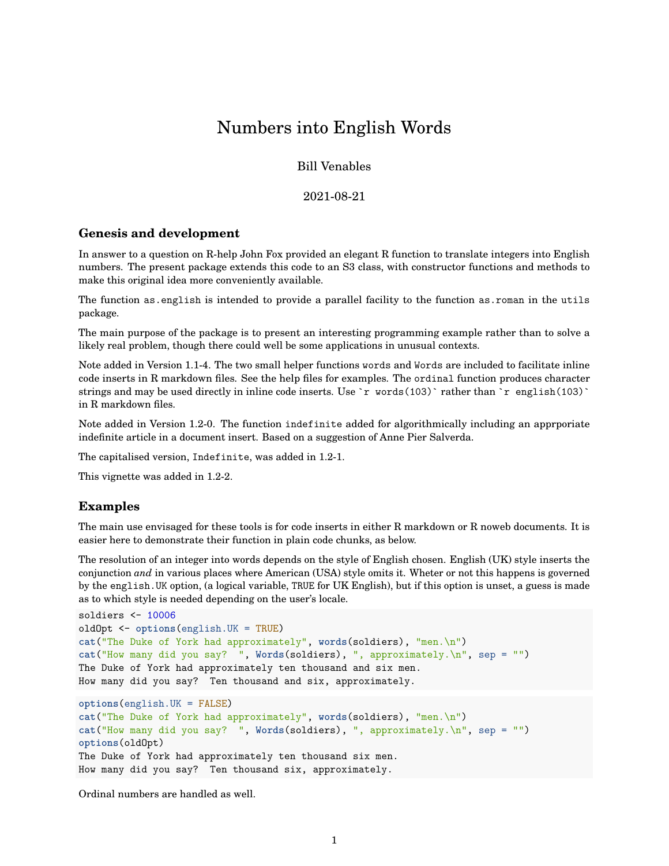## Numbers into English Words

Bill Venables

2021-08-21

## **Genesis and development**

In answer to a question on R-help John Fox provided an elegant R function to translate integers into English numbers. The present package extends this code to an S3 class, with constructor functions and methods to make this original idea more conveniently available.

The function as.english is intended to provide a parallel facility to the function as.roman in the utils package.

The main purpose of the package is to present an interesting programming example rather than to solve a likely real problem, though there could well be some applications in unusual contexts.

Note added in Version 1.1-4. The two small helper functions words and Words are included to facilitate inline code inserts in R markdown files. See the help files for examples. The ordinal function produces character strings and may be used directly in inline code inserts. Use `r words(103)` rather than `r english(103)` in R markdown files.

Note added in Version 1.2-0. The function indefinite added for algorithmically including an apprporiate indefinite article in a document insert. Based on a suggestion of Anne Pier Salverda.

The capitalised version, Indefinite, was added in 1.2-1.

This vignette was added in 1.2-2.

## **Examples**

The main use envisaged for these tools is for code inserts in either R markdown or R noweb documents. It is easier here to demonstrate their function in plain code chunks, as below.

The resolution of an integer into words depends on the style of English chosen. English (UK) style inserts the conjunction *and* in various places where American (USA) style omits it. Wheter or not this happens is governed by the english.UK option, (a logical variable, TRUE for UK English), but if this option is unset, a guess is made as to which style is needed depending on the user's locale.

```
soldiers <- 10006
oldOpt <- options(english.UK = TRUE)
cat("The Duke of York had approximately", words(soldiers), "men.\n")
cat("How many did you say? ", Words(soldiers), ", approximately.\n", sep = "")
The Duke of York had approximately ten thousand and six men.
How many did you say? Ten thousand and six, approximately.
options(english.UK = FALSE)
cat("The Duke of York had approximately", words(soldiers), "men.\n")
cat("How many did you say? ", Words(soldiers), ", approximately.\n", sep = "")
```
**options**(oldOpt)

```
The Duke of York had approximately ten thousand six men.
How many did you say? Ten thousand six, approximately.
```
Ordinal numbers are handled as well.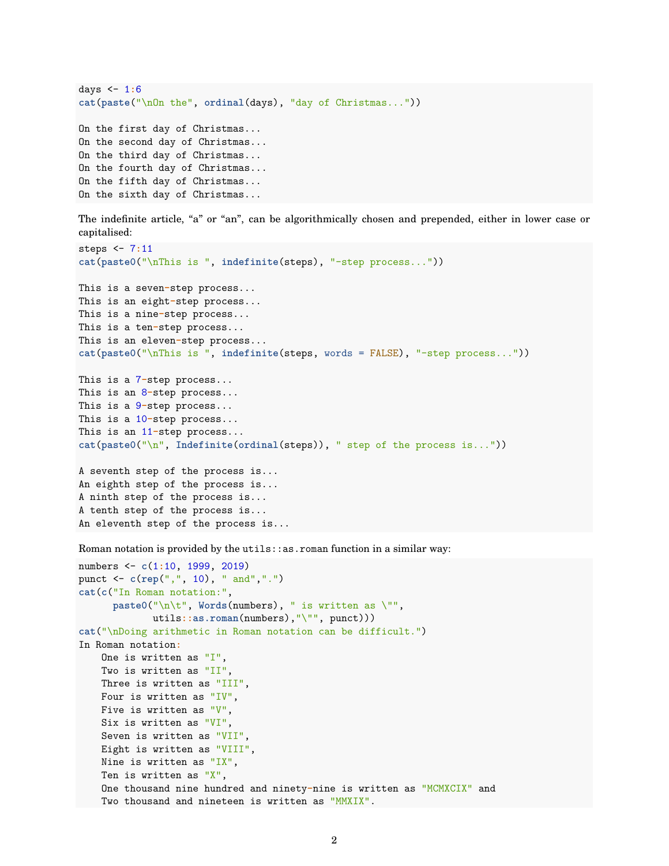```
days <- 1:6
cat(paste("\nOn the", ordinal(days), "day of Christmas..."))
On the first day of Christmas...
On the second day of Christmas...
On the third day of Christmas...
On the fourth day of Christmas...
On the fifth day of Christmas...
On the sixth day of Christmas...
```
The indefinite article, "a" or "an", can be algorithmically chosen and prepended, either in lower case or capitalised:

```
steps <- 7:11
cat(paste0("\nThis is ", indefinite(steps), "-step process..."))
This is a seven-step process...
This is an eight-step process...
This is a nine-step process...
This is a ten-step process...
This is an eleven-step process...
cat(paste0("\nThis is ", indefinite(steps, words = FALSE), "-step process..."))
This is a 7-step process...
This is an 8-step process...
This is a 9-step process...
This is a 10-step process...
This is an 11-step process...
cat(paste0("\n", Indefinite(ordinal(steps)), " step of the process is..."))
A seventh step of the process is...
```
An eighth step of the process is... A ninth step of the process is... A tenth step of the process is... An eleventh step of the process is...

Roman notation is provided by the  $utils:ias.$  roman function in a similar way:

```
numbers <- c(1:10, 1999, 2019)
punct <- c(rep(",", 10), " and",".")
cat(c("In Roman notation:",
      paste0("\n\t", Words(numbers), " is written as \"",
            utils::as.roman(numbers),"\"", punct)))
cat("\nDoing arithmetic in Roman notation can be difficult.")
In Roman notation:
   One is written as "I",
   Two is written as "II",
   Three is written as "III",
   Four is written as "IV",
   Five is written as "V",
   Six is written as "VI",
   Seven is written as "VII",
   Eight is written as "VIII",
   Nine is written as "IX",
   Ten is written as "X",
   One thousand nine hundred and ninety-nine is written as "MCMXCIX" and
   Two thousand and nineteen is written as "MMXIX".
```